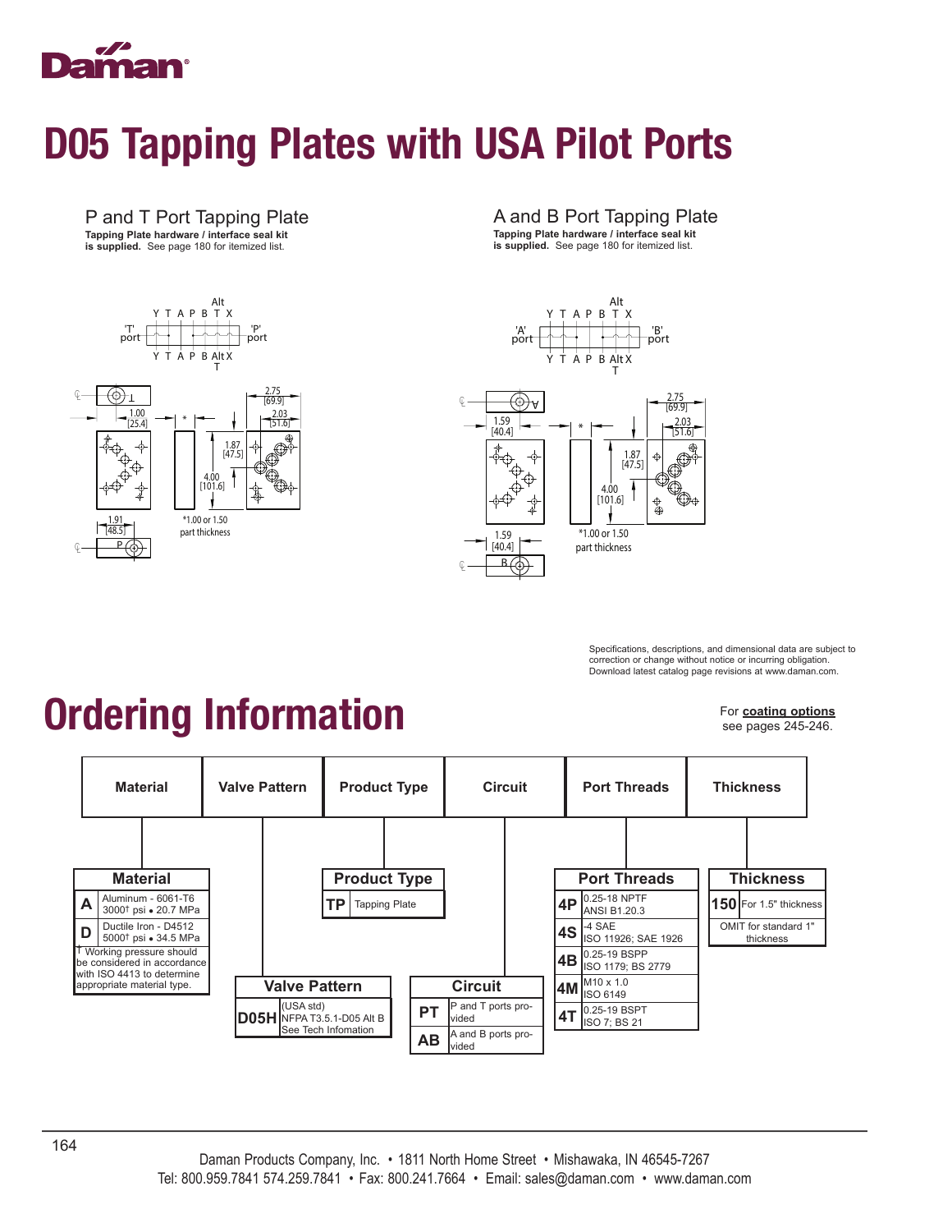

#### D05 Tapping Plates with USA Pilot Ports

#### P and T Port Tapping Plate **Tapping Plate hardware / interface seal kit is supplied.** See page 180 for itemized list.



#### A and B Port Tapping Plate

**Tapping Plate hardware / interface seal kit is supplied.** See page 180 for itemized list.





Specifications, descriptions, and dimensional data are subject to correction or change without notice or incurring obligation. Download latest catalog page revisions at www.daman.com.

## Ordering Information

For **coating options** see pages 245-246.

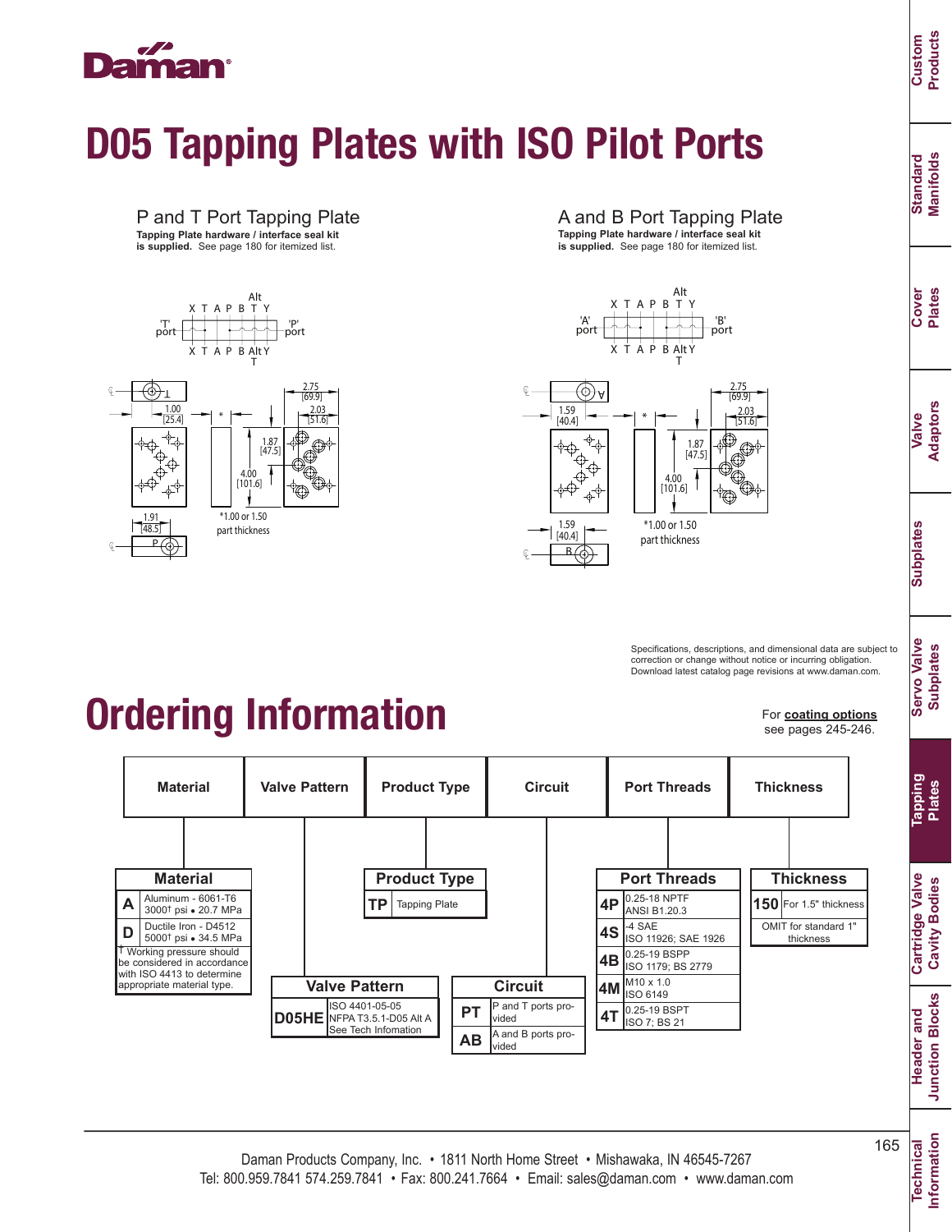

# D05 Tapping Plates with ISO Pilot Ports



Alt X T A P B T Y "| P"<br>| port | P" | port | port 'T' X T A P B Alt Y T 2.75 ℄ T [69.9]  $\frac{1.00}{2.03}$   $\rightarrow$   $\rightarrow$   $\rightarrow$   $\rightarrow$ \* [25.4] [51.6] ᠊ᡃᢘᢩ 1.87 [47.5] ↔  $\overset{\Leftrightarrow}{\Phi}$ 4.00 ╹<br>╶ᠹ╌<sup>ᠹ</sup>  $[101.6]$  $\overline{\mathbb{Q}}$ \*1.00 or 1.50 1.91 [48.5] part thickness  $\overline{P}$  $\overline{\Theta}$ 

**Material**

Ductile Iron - D4512 5000<sup>†</sup> psi • 34.5 MPa

 Aluminum - 6061-T6  $\mathsf{A}$   $\left| \frac{\text{Aluminum - 6061-16}}{3000^{\dagger} \text{ psi} \cdot 20.7 \text{ MPa}} \right|$ 

† Working pressure should be considered in accordance with ISO 4413 to determine appropriate material type.

**D**

℄



**is supplied.** See page 180 for itemized list.





0.25-18 NPTF ANSI B1.20.3  $-4$  SAE

**Port Threads**

**4T** 0.25-19 BSPT

**4P 4S 4B 4M**

ISO 11926; SAE 1926 0.25-19 BSPP ISO 1179; BS 2779 M10 x 1.0 ISO 6149

Specifications, descriptions, and dimensional data are subject to correction or change without notice or incurring obligation. Download latest catalog page revisions at www.daman.com.

Ordering Information

ISO 4401-05-05 NFPA T3.5.1-D05 Alt A See Tech Infomation

**Valve Pattern**

**D05HE**

For **coating options** see pages 245-246.

**Thickness 150** For 1.5" thickness OMIT for standard 1 thickness

**Thickness**

**Standard Manifolds**

Standard<br>Manifolds

**Cover Plates**

**Valve Adaptors**

**Subplates**

**Subplates** 

**Servo Valve Subplates**

**Servo Valve Subplates** 

**Custom Products**

**Information**

**PT AB** P and T ports provided

**Circuit**

A and B ports provided

**Product Type Tapping Plate** 

**Material Valve Pattern Product Type Circuit Port Threads**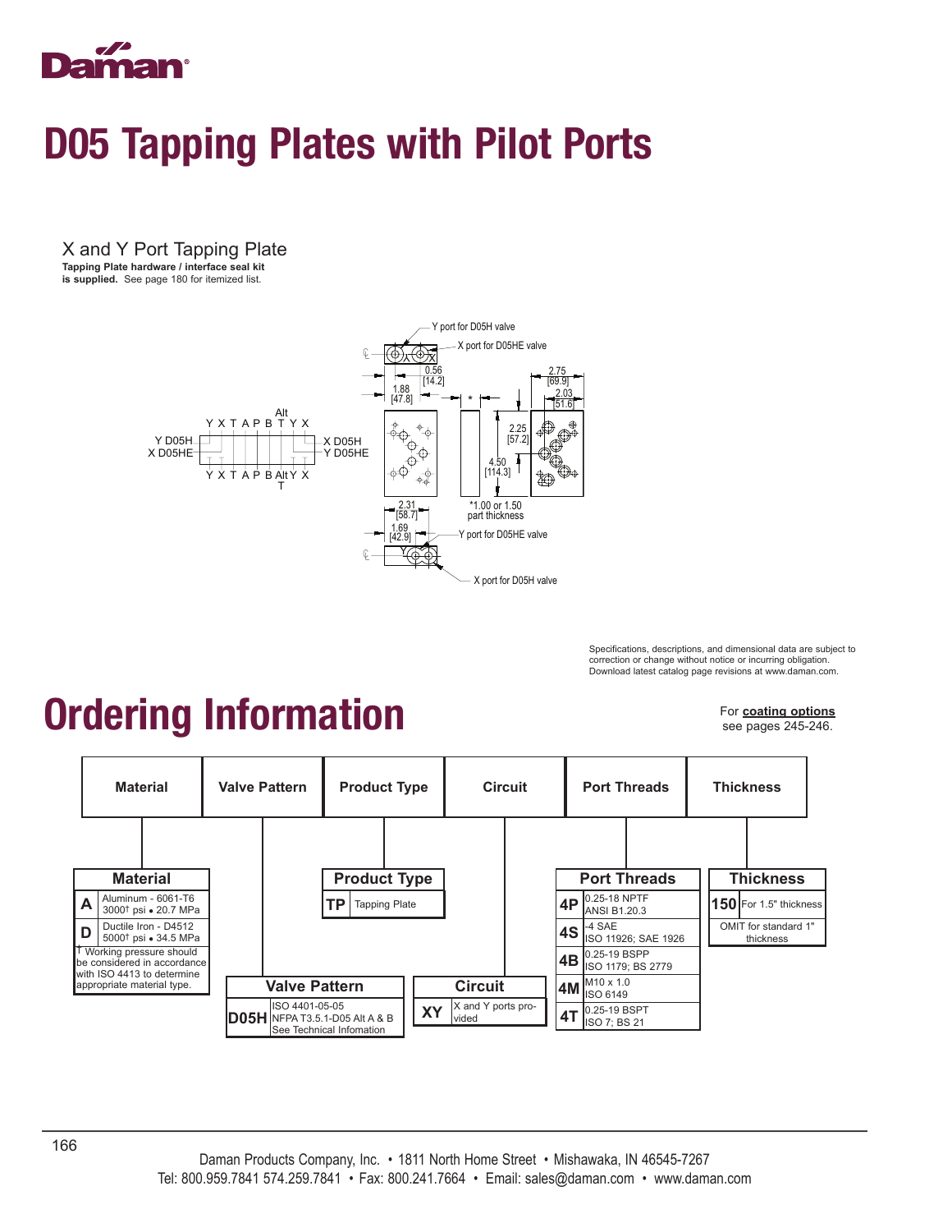

#### D05 Tapping Plates with Pilot Ports

X and Y Port Tapping Plate **Tapping Plate hardware / interface seal kit** 

**is supplied.** See page 180 for itemized list.



Specifications, descriptions, and dimensional data are subject to correction or change without notice or incurring obligation. Download latest catalog page revisions at www.daman.com.

## Ordering Information

For **coating options** see pages 245-246.

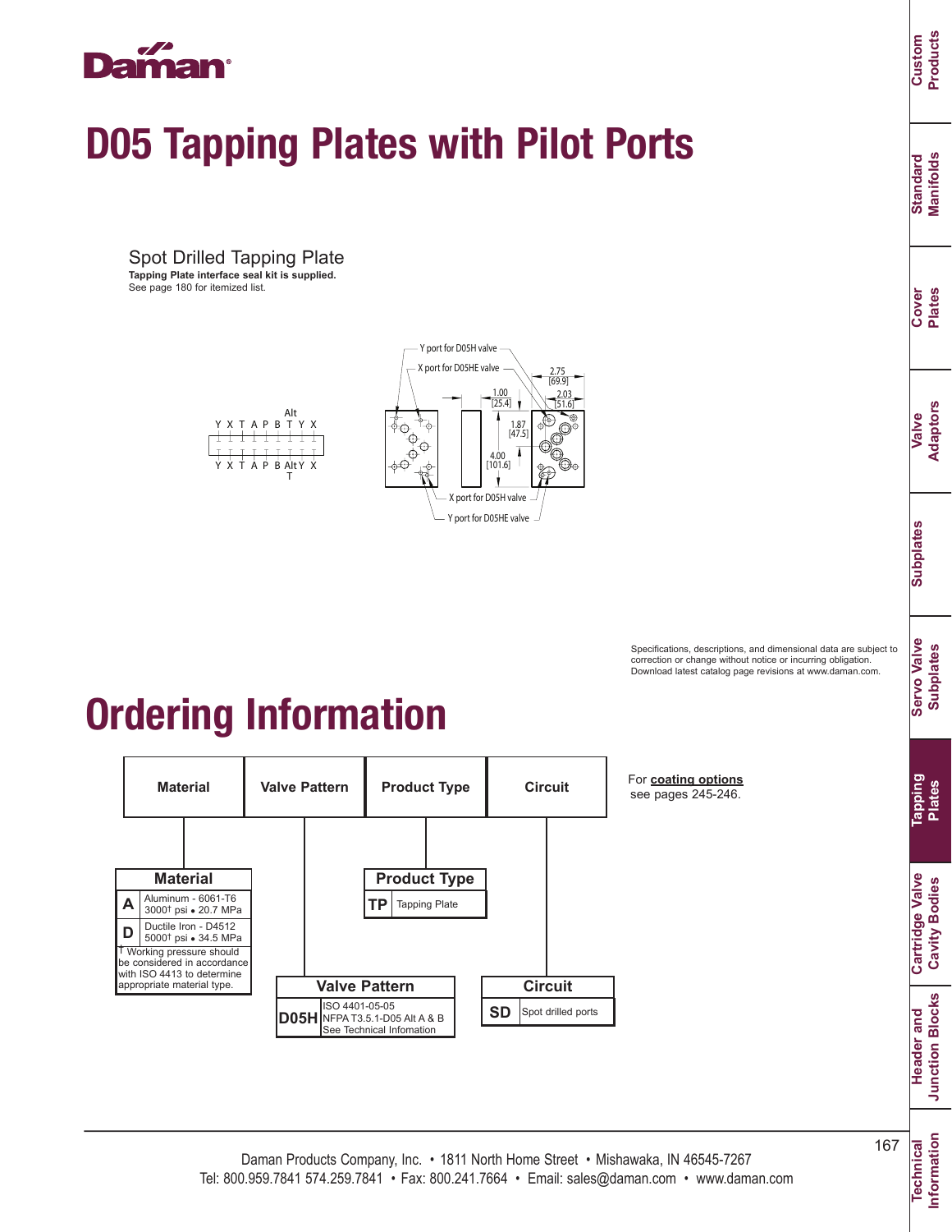

# D05 Tapping Plates with Pilot Ports

Spot Drilled Tapping Plate **Tapping Plate interface seal kit is supplied.** See page 180 for itemized list.



Alt  $B$  T Y Y T A P B X  $\pm$  $\pm$ Y X T A P B AltY X<br>T



#### Ordering Information



For **coating options** see pages 245-246.

**Information**

Information